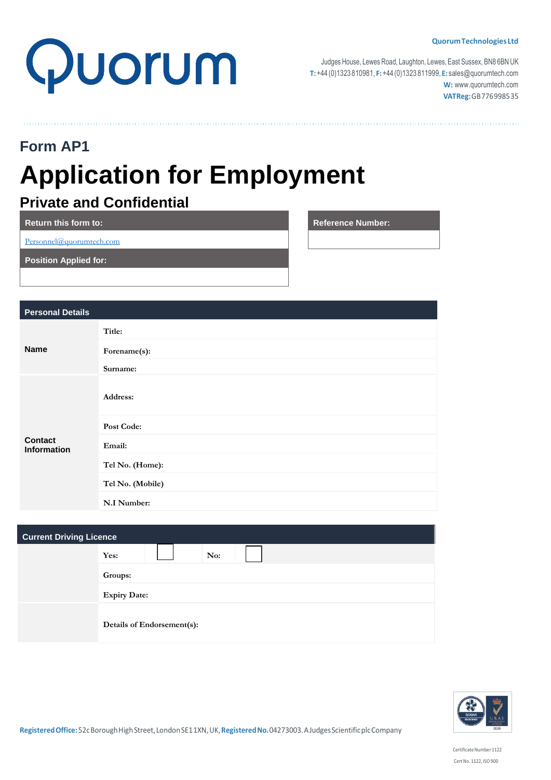

Judges House, Lewes Road, Laughton, Lewes, East Sussex, BN8 6BN UK **T:**+44 (0)1323 810981, **F:**+44(0)1323 811999, **E:** [sales@quorumtech.com](mailto:sales@quorumtech.com) **W:** [www.quorumtech.com](http://www.quorumtech.com/) **VATReg:**GB776998535

**Reference Number:** 

# **Form AP1 Application for Employment**

# **Private and Confidential**

| <b>Return this form to:</b>  |
|------------------------------|
| Personnel@quorumtech.com     |
| <b>Position Applied for:</b> |
|                              |

| <b>Personal Details</b>              |                  |
|--------------------------------------|------------------|
| <b>Name</b>                          | Title:           |
|                                      | Forename(s):     |
|                                      | Surname:         |
| <b>Contact</b><br><b>Information</b> | Address:         |
|                                      | Post Code:       |
|                                      | Email:           |
|                                      | Tel No. (Home):  |
|                                      | Tel No. (Mobile) |
|                                      | N.I Number:      |

| <b>Current Driving Licence</b> |                            |  |
|--------------------------------|----------------------------|--|
|                                | No:<br>Yes:                |  |
|                                | Groups:                    |  |
|                                | <b>Expiry Date:</b>        |  |
|                                | Details of Endorsement(s): |  |

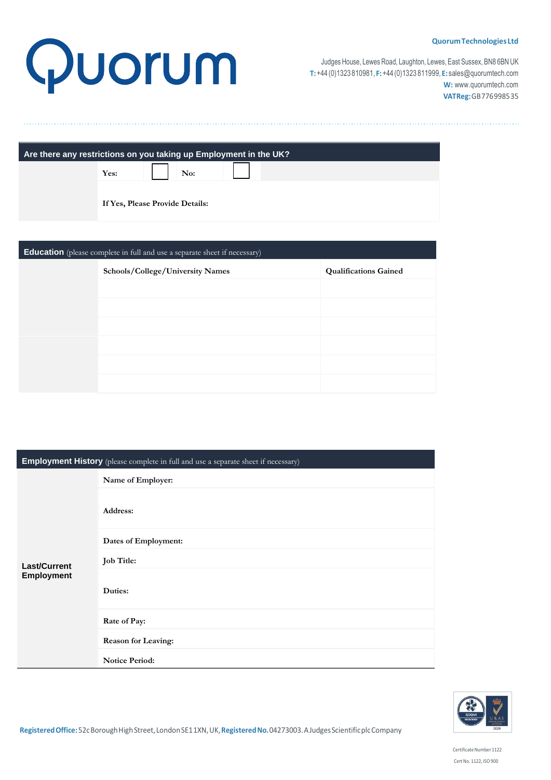# Quorum

Judges House, Lewes Road, Laughton, Lewes, East Sussex, BN8 6BN UK **T:**+44 (0)1323 810981, **F:**+44(0)1323 811999, **E:** [sales@quorumtech.com](mailto:sales@quorumtech.com) **W:** [www.quorumtech.com](http://www.quorumtech.com/) **VATReg:**GB776998535

| Are there any restrictions on you taking up Employment in the UK? |                                 |  |
|-------------------------------------------------------------------|---------------------------------|--|
|                                                                   | Yes:<br>$\vert$ No:             |  |
|                                                                   | If Yes, Please Provide Details: |  |

| <b>Education</b> (please complete in full and use a separate sheet if necessary) |                                  |                              |
|----------------------------------------------------------------------------------|----------------------------------|------------------------------|
|                                                                                  | Schools/College/University Names | <b>Qualifications Gained</b> |
|                                                                                  |                                  |                              |
|                                                                                  |                                  |                              |
|                                                                                  |                                  |                              |
|                                                                                  |                                  |                              |
|                                                                                  |                                  |                              |
|                                                                                  |                                  |                              |

| <b>Employment History</b> (please complete in full and use a separate sheet if necessary) |                            |
|-------------------------------------------------------------------------------------------|----------------------------|
|                                                                                           | Name of Employer:          |
|                                                                                           | Address:                   |
|                                                                                           | Dates of Employment:       |
| <b>Last/Current</b>                                                                       | <b>Job Title:</b>          |
| Employment                                                                                | Duties:                    |
|                                                                                           | Rate of Pay:               |
|                                                                                           | <b>Reason for Leaving:</b> |
|                                                                                           | <b>Notice Period:</b>      |

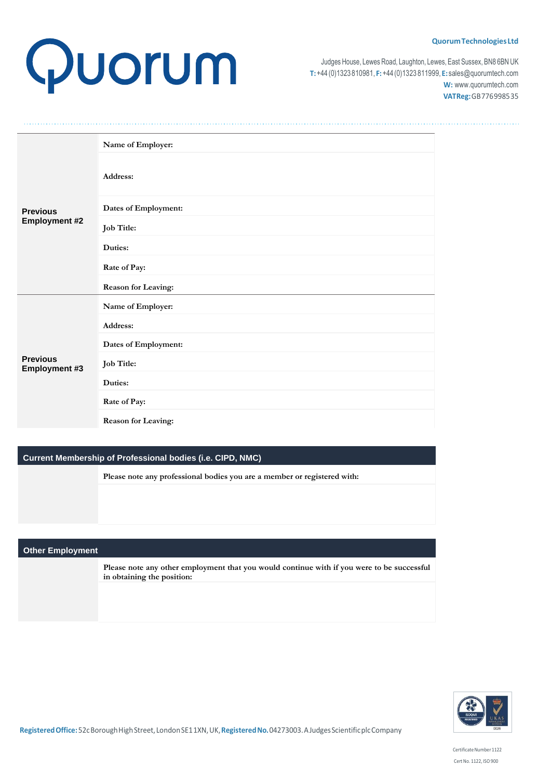# Quorum

Judges House, Lewes Road, Laughton, Lewes, East Sussex, BN8 6BN UK **T:**+44 (0)1323 810981, **F:**+44(0)1323 811999, **E:** [sales@quorumtech.com](mailto:sales@quorumtech.com) **W:** [www.quorumtech.com](http://www.quorumtech.com/) **VATReg:**GB776998535

|                                  | Name of Employer:    |
|----------------------------------|----------------------|
|                                  | Address:             |
| <b>Previous</b>                  | Dates of Employment: |
| <b>Employment #2</b>             | Job Title:           |
|                                  | Duties:              |
|                                  | Rate of Pay:         |
|                                  | Reason for Leaving:  |
|                                  | Name of Employer:    |
|                                  | Address:             |
| <b>Previous</b><br>Employment #3 | Dates of Employment: |
|                                  | Job Title:           |
|                                  | Duties:              |
|                                  | Rate of Pay:         |
|                                  | Reason for Leaving:  |

# **Current Membership of Professional bodies (i.e. CIPD, NMC)**

**Please note any professional bodies you are a member or registered with:**

# **Other Employment**

**Please note any other employment that you would continue with if you were to be successful in obtaining the position:**

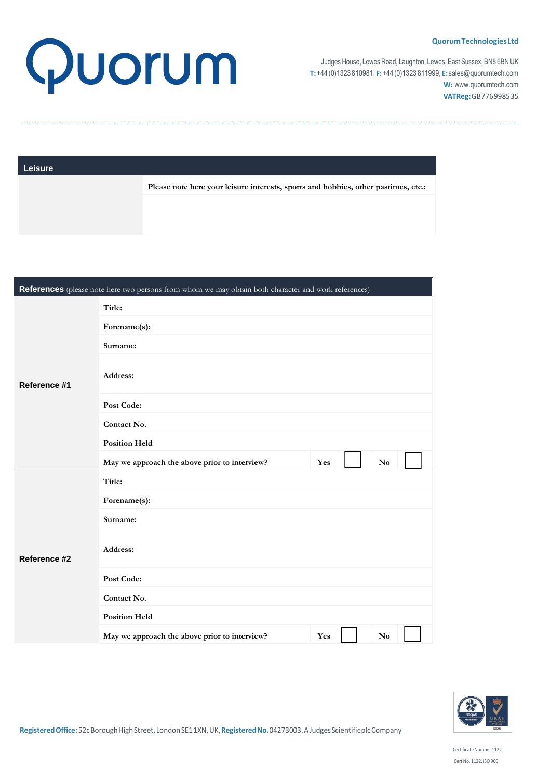

Judges House, Lewes Road, Laughton, Lewes, East Sussex, BN8 6BN UK **T:**+44 (0)1323 810981, **F:**+44(0)1323 811999, **E:** [sales@quorumtech.com](mailto:sales@quorumtech.com) **W:** [www.quorumtech.com](http://www.quorumtech.com/) **VATReg:**GB776998535

| <b>Leisure</b> |  |
|----------------|--|
|                |  |

**Please note here your leisure interests, sports and hobbies, other pastimes, etc.:**

| References (please note here two persons from whom we may obtain both character and work references) |                                               |                               |  |  |
|------------------------------------------------------------------------------------------------------|-----------------------------------------------|-------------------------------|--|--|
|                                                                                                      | Title:                                        |                               |  |  |
| Reference #1                                                                                         | Forename(s):                                  |                               |  |  |
|                                                                                                      | Surname:                                      |                               |  |  |
|                                                                                                      | Address:                                      |                               |  |  |
|                                                                                                      | Post Code:                                    |                               |  |  |
|                                                                                                      | Contact No.                                   |                               |  |  |
|                                                                                                      | <b>Position Held</b>                          |                               |  |  |
|                                                                                                      | May we approach the above prior to interview? | Yes<br>$\mathbf{No}$          |  |  |
|                                                                                                      | Title:                                        |                               |  |  |
|                                                                                                      | Forename(s):                                  |                               |  |  |
|                                                                                                      | Surname:                                      |                               |  |  |
| Reference #2                                                                                         | Address:                                      |                               |  |  |
|                                                                                                      | Post Code:                                    |                               |  |  |
|                                                                                                      | Contact No.                                   |                               |  |  |
|                                                                                                      | <b>Position Held</b>                          |                               |  |  |
|                                                                                                      | May we approach the above prior to interview? | Yes<br>$\mathbf{N}\mathbf{o}$ |  |  |



CertificateNumber 1122 Cert No. 1122, ISO900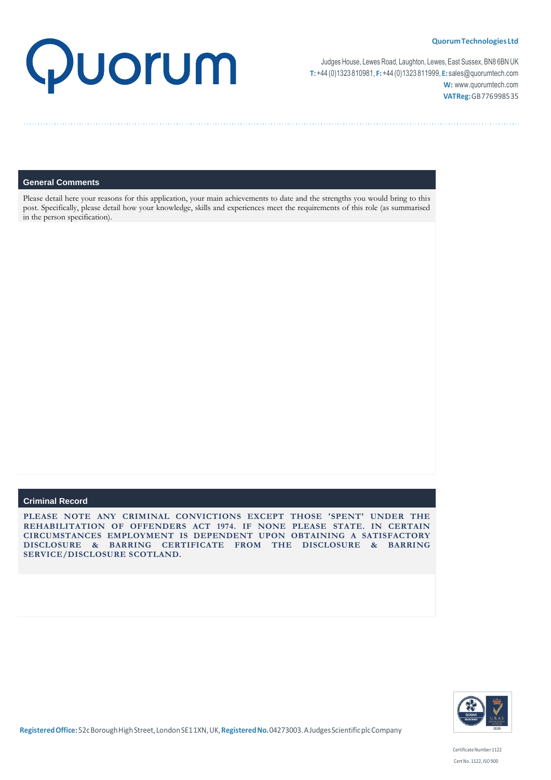

Judges House, Lewes Road, Laughton, Lewes, East Sussex, BN8 6BN UK **T:**+44 (0)1323 810981, **F:**+44(0)1323 811999, **E:** [sales@quorumtech.com](mailto:sales@quorumtech.com) **W:** [www.quorumtech.com](http://www.quorumtech.com/) **VATReg:**GB776998535

## **General Comments**

Please detail here your reasons for this application, your main achievements to date and the strengths you would bring to this post. Specifically, please detail how your knowledge, skills and experiences meet the requirements of this role (as summarised in the person specification).

## **Criminal Record**

**PLEASE NOTE ANY CRIMINAL CONVICTIONS EXCEPT THOSE 'SPENT' UNDER THE REHABILITATION OF OFFENDERS ACT 1974. IF NONE PLEASE STATE. IN CERTAIN CIRCUMSTANCES EMPLOYMENT IS DEPENDENT UPON OBTAINING A SATISFACTORY DISCLOSURE & BARRING CERTIFICATE FROM THE DISCLOSURE & BARRING SERVICE/DISCLOSURE SCOTLAND.**

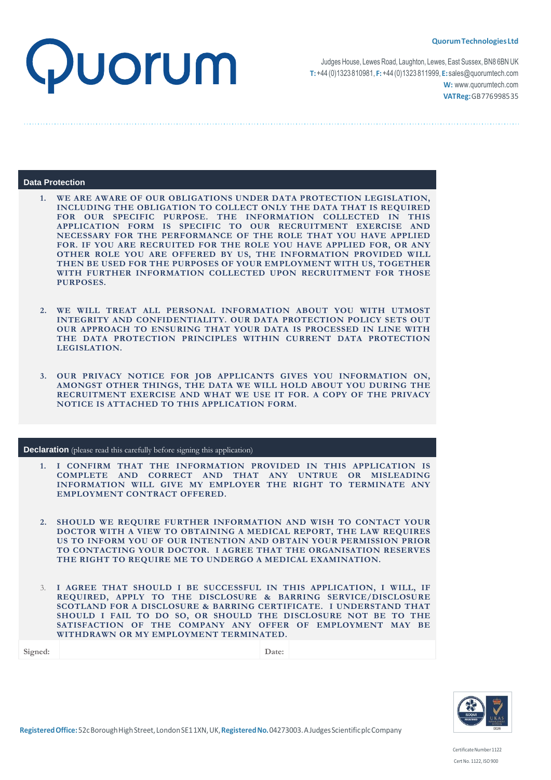

Judges House, Lewes Road, Laughton, Lewes, East Sussex, BN8 6BN UK **T:**+44 (0)1323 810981, **F:**+44(0)1323 811999, **E:** [sales@quorumtech.com](mailto:sales@quorumtech.com) **W:** [www.quorumtech.com](http://www.quorumtech.com/) **VATReg:**GB776998535

## **Data Protection**

**1. WE ARE AWARE OF OUR OBLIGATIONS UNDER DATA PROTECTION LEGISLATION, INCLUDING THE OBLIGATION TO COLLECT ONLY THE DATA THAT IS REQUIRED FOR OUR SPECIFIC PURPOSE. THE INFORMATION COLLECTED IN THIS APPLICATION FORM IS SPECIFIC TO OUR RECRUITMENT EXERCISE AND NECESSARY FOR THE PERFORMANCE OF THE ROLE THAT YOU HAVE APPLIED FOR. IF YOU ARE RECRUITED FOR THE ROLE YOU HAVE APPLIED FOR, OR ANY OTHER ROLE YOU ARE OFFERED BY US, THE INFORMATION PROVIDED WILL THEN BE USED FOR THE PURPOSES OF YOUR EMPLOYMENT WITH US, TOGETHER WITH FURTHER INFORMATION COLLECTED UPON RECRUITMENT FOR THOSE PURPOSES.** 

- **2. WE WILL TREAT ALL PERSONAL INFORMATION ABOUT YOU WITH UTMOST INTEGRITY AND CONFIDENTIALITY. OUR DATA PROTECTION POLICY SETS OUT OUR APPROACH TO ENSURING THAT YOUR DATA IS PROCESSED IN LINE WITH THE DATA PROTECTION PRINCIPLES WITHIN CURRENT DATA PROTECTION LEGISLATION.**
- **3. OUR PRIVACY NOTICE FOR JOB APPLICANTS GIVES YOU INFORMATION ON, AMONGST OTHER THINGS, THE DATA WE WILL HOLD ABOUT YOU DURING THE RECRUITMENT EXERCISE AND WHAT WE USE IT FOR. A COPY OF THE PRIVACY NOTICE IS ATTACHED TO THIS APPLICATION FORM.**

## **Declaration** (please read this carefully before signing this application)

- **1. I CONFIRM THAT THE INFORMATION PROVIDED IN THIS APPLICATION IS COMPLETE AND CORRECT AND THAT ANY UNTRUE OR MISLEADING INFORMATION WILL GIVE MY EMPLOYER THE RIGHT TO TERMINATE ANY EMPLOYMENT CONTRACT OFFERED.**
- **2. SHOULD WE REQUIRE FURTHER INFORMATION AND WISH TO CONTACT YOUR DOCTOR WITH A VIEW TO OBTAINING A MEDICAL REPORT, THE LAW REQUIRES US TO INFORM YOU OF OUR INTENTION AND OBTAIN YOUR PERMISSION PRIOR TO CONTACTING YOUR DOCTOR. I AGREE THAT THE ORGANISATION RESERVES THE RIGHT TO REQUIRE ME TO UNDERGO A MEDICAL EXAMINATION.**
- 3. **I AGREE THAT SHOULD I BE SUCCESSFUL IN THIS APPLICATION, I WILL, IF REQUIRED, APPLY TO THE DISCLOSURE & BARRING SERVICE/DISCLOSURE SCOTLAND FOR A DISCLOSURE & BARRING CERTIFICATE. I UNDERSTAND THAT SHOULD I FAIL TO DO SO, OR SHOULD THE DISCLOSURE NOT BE TO THE SATISFACTION OF THE COMPANY ANY OFFER OF EMPLOYMENT MAY BE WITHDRAWN OR MY EMPLOYMENT TERMINATED.**

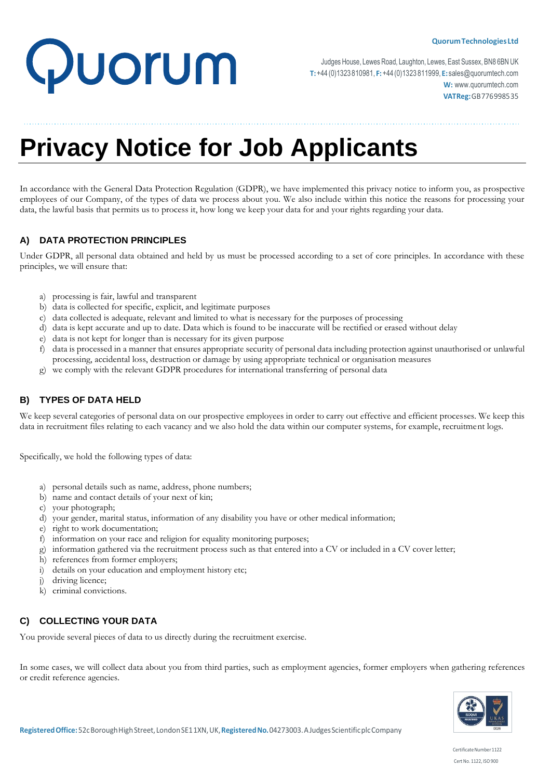# Quorum

Judges House, Lewes Road, Laughton, Lewes, East Sussex, BN8 6BN UK **T:**+44 (0)1323 810981, **F:**+44(0)1323 811999, **E:** [sales@quorumtech.com](mailto:sales@quorumtech.com) **W:** [www.quorumtech.com](http://www.quorumtech.com/) **VATReg:**GB776998535

# **Privacy Notice for Job Applicants**

In accordance with the General Data Protection Regulation (GDPR), we have implemented this privacy notice to inform you, as prospective employees of our Company, of the types of data we process about you. We also include within this notice the reasons for processing your data, the lawful basis that permits us to process it, how long we keep your data for and your rights regarding your data.

# **A) DATA PROTECTION PRINCIPLES**

Under GDPR, all personal data obtained and held by us must be processed according to a set of core principles. In accordance with these principles, we will ensure that:

- a) processing is fair, lawful and transparent
- b) data is collected for specific, explicit, and legitimate purposes
- c) data collected is adequate, relevant and limited to what is necessary for the purposes of processing
- d) data is kept accurate and up to date. Data which is found to be inaccurate will be rectified or erased without delay
- e) data is not kept for longer than is necessary for its given purpose
- f) data is processed in a manner that ensures appropriate security of personal data including protection against unauthorised or unlawful processing, accidental loss, destruction or damage by using appropriate technical or organisation measures
- g) we comply with the relevant GDPR procedures for international transferring of personal data

# **B) TYPES OF DATA HELD**

We keep several categories of personal data on our prospective employees in order to carry out effective and efficient processes. We keep this data in recruitment files relating to each vacancy and we also hold the data within our computer systems, for example, recruitment logs.

Specifically, we hold the following types of data:

- a) personal details such as name, address, phone numbers;
- b) name and contact details of your next of kin;
- c) your photograph;
- d) your gender, marital status, information of any disability you have or other medical information;
- e) right to work documentation;
- f) information on your race and religion for equality monitoring purposes;
- g) information gathered via the recruitment process such as that entered into a CV or included in a CV cover letter;
- h) references from former employers;
- i) details on your education and employment history etc;
- j) driving licence;
- k) criminal convictions.

# **C) COLLECTING YOUR DATA**

You provide several pieces of data to us directly during the recruitment exercise.

In some cases, we will collect data about you from third parties, such as employment agencies, former employers when gathering references or credit reference agencies.

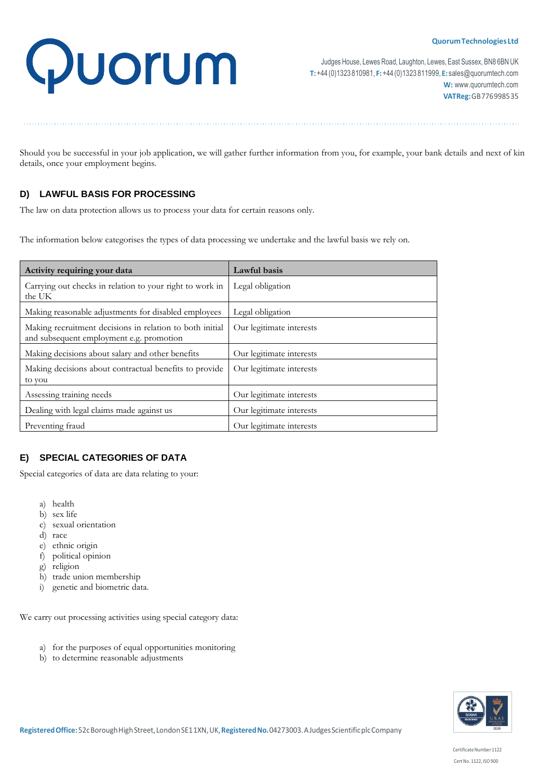# Quorum

Judges House, Lewes Road, Laughton, Lewes, East Sussex, BN8 6BN UK **T:**+44 (0)1323 810981, **F:**+44(0)1323 811999, **E:** [sales@quorumtech.com](mailto:sales@quorumtech.com) **W:** [www.quorumtech.com](http://www.quorumtech.com/) **VATReg:**GB776998535

Should you be successful in your job application, we will gather further information from you, for example, your bank details and next of kin details, once your employment begins.

# **D) LAWFUL BASIS FOR PROCESSING**

The law on data protection allows us to process your data for certain reasons only.

The information below categorises the types of data processing we undertake and the lawful basis we rely on.

| Activity requiring your data                                                                         | Lawful basis             |
|------------------------------------------------------------------------------------------------------|--------------------------|
| Carrying out checks in relation to your right to work in<br>the UK                                   | Legal obligation         |
| Making reasonable adjustments for disabled employees                                                 | Legal obligation         |
| Making recruitment decisions in relation to both initial<br>and subsequent employment e.g. promotion | Our legitimate interests |
| Making decisions about salary and other benefits                                                     | Our legitimate interests |
| Making decisions about contractual benefits to provide<br>to you                                     | Our legitimate interests |
| Assessing training needs                                                                             | Our legitimate interests |
| Dealing with legal claims made against us                                                            | Our legitimate interests |
| Preventing fraud                                                                                     | Our legitimate interests |

# **E) SPECIAL CATEGORIES OF DATA**

Special categories of data are data relating to your:

- a) health
- b) sex life
- c) sexual orientation
- d) race
- e) ethnic origin
- f) political opinion
- g) religion
- h) trade union membership
- i) genetic and biometric data.

We carry out processing activities using special category data:

- a) for the purposes of equal opportunities monitoring
- b) to determine reasonable adjustments



Certificate Number 1122 Cert No. 1122, ISO 900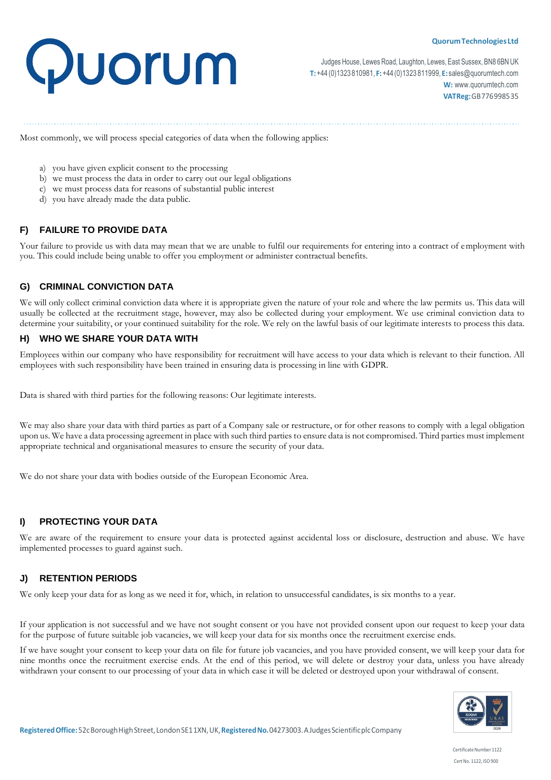

Judges House, Lewes Road, Laughton, Lewes, East Sussex, BN8 6BN UK **T:**+44 (0)1323 810981, **F:**+44(0)1323 811999, **E:** [sales@quorumtech.com](mailto:sales@quorumtech.com) **W:** [www.quorumtech.com](http://www.quorumtech.com/) **VATReg:**GB776998535

Most commonly, we will process special categories of data when the following applies:

- a) you have given explicit consent to the processing
- b) we must process the data in order to carry out our legal obligations
- c) we must process data for reasons of substantial public interest
- d) you have already made the data public.

# **F) FAILURE TO PROVIDE DATA**

Your failure to provide us with data may mean that we are unable to fulfil our requirements for entering into a contract of employment with you. This could include being unable to offer you employment or administer contractual benefits.

# **G) CRIMINAL CONVICTION DATA**

We will only collect criminal conviction data where it is appropriate given the nature of your role and where the law permits us. This data will usually be collected at the recruitment stage, however, may also be collected during your employment. We use criminal conviction data to determine your suitability, or your continued suitability for the role. We rely on the lawful basis of our legitimate interests to process this data.

# **H) WHO WE SHARE YOUR DATA WITH**

Employees within our company who have responsibility for recruitment will have access to your data which is relevant to their function. All employees with such responsibility have been trained in ensuring data is processing in line with GDPR.

Data is shared with third parties for the following reasons: Our legitimate interests.

We may also share your data with third parties as part of a Company sale or restructure, or for other reasons to comply with a legal obligation upon us. We have a data processing agreement in place with such third parties to ensure data is not compromised. Third parties must implement appropriate technical and organisational measures to ensure the security of your data.

We do not share your data with bodies outside of the European Economic Area.

# **I) PROTECTING YOUR DATA**

We are aware of the requirement to ensure your data is protected against accidental loss or disclosure, destruction and abuse. We have implemented processes to guard against such.

# **J) RETENTION PERIODS**

We only keep your data for as long as we need it for, which, in relation to unsuccessful candidates, is six months to a year.

If your application is not successful and we have not sought consent or you have not provided consent upon our request to keep your data for the purpose of future suitable job vacancies, we will keep your data for six months once the recruitment exercise ends.

If we have sought your consent to keep your data on file for future job vacancies, and you have provided consent, we will keep your data for nine months once the recruitment exercise ends. At the end of this period, we will delete or destroy your data, unless you have already withdrawn your consent to our processing of your data in which case it will be deleted or destroyed upon your withdrawal of consent.